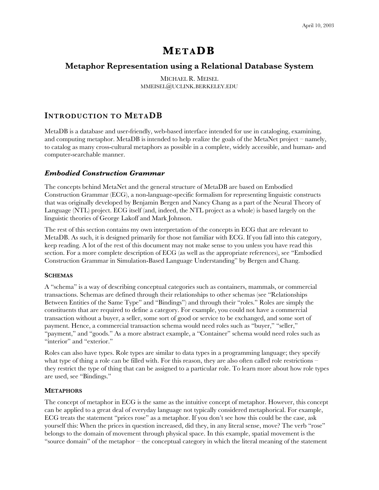# **MET ADB**

# **Metaphor Representation using a Relational Database System**

MICHAEL R. MEISEL MMEISEL@UCLINK.BERKELEY.EDU

# **INTRODUCTION TO METADB**

MetaDB is a database and user-friendly, web-based interface intended for use in cataloging, examining, and computing metaphor. MetaDB is intended to help realize the goals of the MetaNet project – namely, to catalog as many cross-cultural metaphors as possible in a complete, widely accessible, and human- and computer-searchable manner.

#### *Embodied Construction Grammar*

The concepts behind MetaNet and the general structure of MetaDB are based on Embodied Construction Grammar (ECG), a non-language-specific formalism for representing linguistic constructs that was originally developed by Benjamin Bergen and Nancy Chang as a part of the Neural Theory of Language (NTL) project. ECG itself (and, indeed, the NTL project as a whole) is based largely on the linguistic theories of George Lakoff and Mark Johnson.

The rest of this section contains my own interpretation of the concepts in ECG that are relevant to MetaDB. As such, it is designed primarily for those not familiar with ECG. If you fall into this category, keep reading. A lot of the rest of this document may not make sense to you unless you have read this section. For a more complete description of ECG (as well as the appropriate references), see "Embodied Construction Grammar in Simulation-Based Language Understanding" by Bergen and Chang.

#### **SCHEMAS**

A "schema" is a way of describing conceptual categories such as containers, mammals, or commercial transactions. Schemas are defined through their relationships to other schemas (see "Relationships Between Entities of the Same Type" and "Bindings") and through their "roles." Roles are simply the constituents that are required to define a category. For example, you could not have a commercial transaction without a buyer, a seller, some sort of good or service to be exchanged, and some sort of payment. Hence, a commercial transaction schema would need roles such as "buyer," "seller," "payment," and "goods." As a more abstract example, a "Container" schema would need roles such as "interior" and "exterior."

Roles can also have types. Role types are similar to data types in a programming language; they specify what type of thing a role can be filled with. For this reason, they are also often called role restrictions – they restrict the type of thing that can be assigned to a particular role. To learn more about how role types are used, see "Bindings."

#### **METAPHORS**

The concept of metaphor in ECG is the same as the intuitive concept of metaphor. However, this concept can be applied to a great deal of everyday language not typically considered metaphorical. For example, ECG treats the statement "prices rose" as a metaphor. If you don't see how this could be the case, ask yourself this: When the prices in question increased, did they, in any literal sense, move? The verb "rose" belongs to the domain of movement through physical space. In this example, spatial movement is the "source domain" of the metaphor – the conceptual category in which the literal meaning of the statement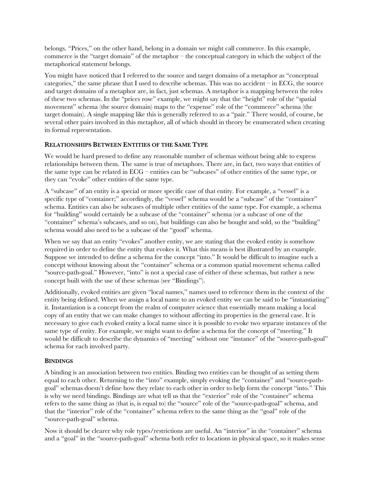belongs. "Prices," on the other hand, belong in a domain we might call commerce. In this example, commerce is the "target domain" of the metaphor – the conceptual category in which the subject of the metaphorical statement belongs.

You might have noticed that I referred to the source and target domains of a metaphor as "conceptual categories," the same phrase that I used to describe schemas. This was no accident – in ECG, the source and target domains of a metaphor are, in fact, just schemas. A metaphor is a mapping between the roles of these two schemas. In the "prices rose" example, we might say that the "height" role of the "spatial movement" schema (the source domain) maps to the "expense" role of the "commerce" schema (the target domain). A single mapping like this is generally referred to as a "pair." There would, of course, be several other pairs involved in this metaphor, all of which should in theory be enumerated when creating its formal representation.

### **RELATIONSHIPS BETWEEN ENTITIES OF THE SAME TYPE**

We would be hard pressed to define any reasonable number of schemas without being able to express relationships between them. The same is true of metaphors. There are, in fact, two ways that entities of the same type can be related in ECG – entities can be "subcases" of other entities of the same type, or they can "evoke" other entities of the same type.

A "subcase" of an entity is a special or more specific case of that entity. For example, a "vessel" is a specific type of "container;" accordingly, the "vessel" schema would be a "subcase" of the "container" schema. Entities can also be subcases of multiple other entities of the same type. For example, a schema for "building" would certainly be a subcase of the "container" schema (or a subcase of one of the "container" schema's subcases, and so on), but buildings can also be bought and sold, so the "building" schema would also need to be a subcase of the "good" schema.

When we say that an entity "evokes" another entity, we are stating that the evoked entity is somehow required in order to define the entity that evokes it. What this means is best illustrated by an example. Suppose we intended to define a schema for the concept "into." It would be difficult to imagine such a concept without knowing about the "container" schema or a common spatial movement schema called "source-path-goal." However, "into" is not a special case of either of these schemas, but rather a new concept built with the use of these schemas (see "Bindings").

Additionally, evoked entities are given "local names," names used to reference them in the context of the entity being defined. When we assign a local name to an evoked entity we can be said to be "instantiating" it. Instantiation is a concept from the realm of computer science that essentially means making a local copy of an entity that we can make changes to without affecting its properties in the general case. It is necessary to give each evoked entity a local name since it is possible to evoke two separate instances of the same type of entity. For example, we might want to define a schema for the concept of "meeting." It would be difficult to describe the dynamics of "meeting" without one "instance" of the "source-path-goal" schema for each involved party.

# **BINDINGS**

A binding is an association between two entities. Binding two entities can be thought of as setting them equal to each other. Returning to the "into" example, simply evoking the "container" and "source-pathgoal" schemas doesn't define how they relate to each other in order to help form the concept "into." This is why we need bindings. Bindings are what tell us that the "exterior" role of the "container" schema refers to the same thing as (that is, is equal to) the "source" role of the "source-path-goal" schema, and that the "interior" role of the "container" schema refers to the same thing as the "goal" role of the "source-path-goal" schema.

Now it should be clearer why role types/restrictions are useful. An "interior" in the "container" schema and a "goal" in the "source-path-goal" schema both refer to locations in physical space, so it makes sense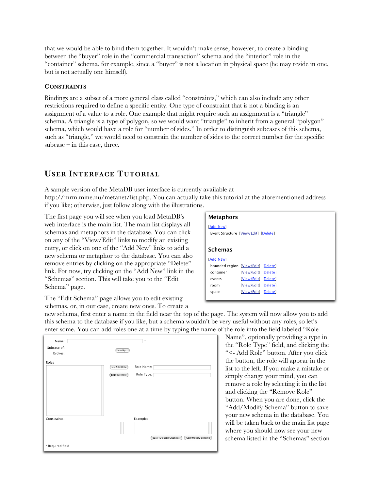that we would be able to bind them together. It wouldn't make sense, however, to create a binding between the "buyer" role in the "commercial transaction" schema and the "interior" role in the "container" schema, for example, since a "buyer" is not a location in physical space (he may reside in one, but is not actually one himself).

#### **CONSTRAINTS**

Bindings are a subset of a more general class called "constraints," which can also include any other restrictions required to define a specific entity. One type of constraint that is not a binding is an assignment of a value to a role. One example that might require such an assignment is a "triangle" schema. A triangle is a type of polygon, so we would want "triangle" to inherit from a general "polygon" schema, which would have a role for "number of sides." In order to distinguish subcases of this schema, such as "triangle," we would need to constrain the number of sides to the correct number for the specific subcase – in this case, three.

# **USER INTERFACE TUTORIAL**

A sample version of the MetaDB user interface is currently available at http://mrm.mine.nu/metanet/list.php. You can actually take this tutorial at the aforementioned address if you like; otherwise, just follow along with the illustrations.

The first page you will see when you load MetaDB's web interface is the main list. The main list displays all schemas and metaphors in the database. You can click on any of the "View/Edit" links to modify an existing entry, or click on one of the "Add New" links to add a new schema or metaphor to the database. You can also remove entries by clicking on the appropriate "Delete" link. For now, try clicking on the "Add New" link in the "Schemas" section. This will take you to the "Edit Schema" page.

| Metaphors |                                      |
|-----------|--------------------------------------|
| [Add New] | Event Structure [View/Edit] [Delete] |
| Schemas   |                                      |
| [Add New] |                                      |
|           | bounded region [View/Edit] [Delete]  |
| container | [View/Edit] [Delete]                 |
| events    | [View/Edit] [Delete]                 |
| room      | [View/Edit] [Delete]                 |
| space     | [View/Edit] [Delete]                 |
|           |                                      |

The "Edit Schema" page allows you to edit existing schemas, or, in our case, create new ones. To create a

new schema, first enter a name in the field near the top of the page. The system will now allow you to add this schema to the database if you like, but a schema wouldn't be very useful without any roles, so let's enter some. You can add roles one at a time by typing the name of the role into the field labeled "Role

| Name:                  | $\mathfrak{N}$                              |
|------------------------|---------------------------------------------|
| Subcase of:<br>Evokes: | Modify                                      |
| Roles                  | Role Name:<br><- Add Role                   |
|                        | Role Type:<br>Remove Role                   |
|                        |                                             |
|                        |                                             |
|                        |                                             |
| Constraints:           | Examples:                                   |
|                        |                                             |
|                        | Back (Discard Changes)<br>Add/Modify Schema |
| * Required field       |                                             |

Name", optionally providing a type in the "Role Type" field, and clicking the "<- Add Role" button. After you click the button, the role will appear in the list to the left. If you make a mistake or simply change your mind, you can remove a role by selecting it in the list and clicking the "Remove Role" button. When you are done, click the "Add/Modify Schema" button to save your new schema in the database. You will be taken back to the main list page where you should now see your new schema listed in the "Schemas" section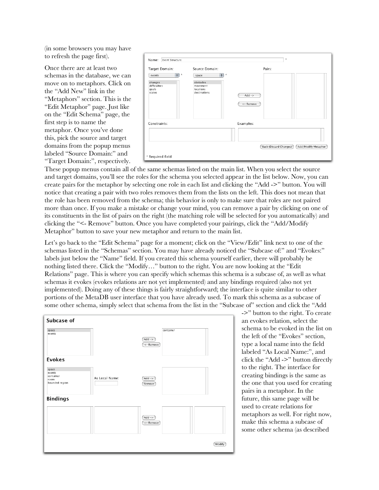(in some browsers you may have to refresh the page first).

Once there are at least two schemas in the database, we can move on to metaphors. Click on the "Add New" link in the "Metaphors" section. This is the "Edit Metaphor" page. Just like on the "Edit Schema" page, the first step is to name the metaphor. Once you've done this, pick the source and target domains from the popup menus labeled "Source Domain:" and "Target Domain:", respectively.

| Target Domain:<br>E) *<br>events           | Source Domain:<br>$\div$<br>$\dot{\mathcal{H}}$<br>space | Pairs:                |
|--------------------------------------------|----------------------------------------------------------|-----------------------|
| changes<br>difficulties<br>goals<br>states | obstacles<br>movement<br>locations<br>destinations       | $Add ->$<br><- Remove |
| Constraints:                               |                                                          | Examples:             |
|                                            |                                                          |                       |

These popup menus contain all of the same schemas listed on the main list. When you select the source and target domains, you'll see the roles for the schema you selected appear in the list below. Now, you can create pairs for the metaphor by selecting one role in each list and clicking the "Add ->" button. You will notice that creating a pair with two roles removes them from the lists on the left. This does not mean that the role has been removed from the schema; this behavior is only to make sure that roles are not paired more than once. If you make a mistake or change your mind, you can remove a pair by clicking on one of its constituents in the list of pairs on the right (the matching role will be selected for you automatically) and clicking the "<- Remove" button. Once you have completed your pairings, click the "Add/Modify Metaphor" button to save your new metaphor and return to the main list.

Let's go back to the "Edit Schema" page for a moment; click on the "View/Edit" link next to one of the schemas listed in the "Schemas" section. You may have already noticed the "Subcase of:" and "Evokes:" labels just below the "Name" field. If you created this schema yourself earlier, there will probably be nothing listed there. Click the "Modify…" button to the right. You are now looking at the "Edit Relations" page. This is where you can specify which schemas this schema is a subcase of, as well as what schemas it evokes (evokes relations are not yet implemented) and any bindings required (also not yet implemented). Doing any of these things is fairly straightforward; the interface is quite similar to other portions of the MetaDB user interface that you have already used. To mark this schema as a subcase of some other schema, simply select that schema from the list in the "Subcase of" section and click the "Add



->" button to the right. To create an evokes relation, select the schema to be evoked in the list on the left of the "Evokes" section, type a local name into the field labeled "As Local Name:", and click the "Add ->" button directly to the right. The interface for creating bindings is the same as the one that you used for creating pairs in a metaphor. In the future, this same page will be used to create relations for metaphors as well. For right now, make this schema a subcase of some other schema (as described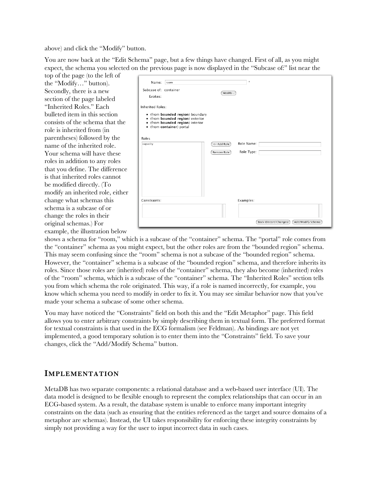above) and click the "Modify" button.

You are now back at the "Edit Schema" page, but a few things have changed. First of all, as you might expect, the schema you selected on the previous page is now displayed in the "Subcase of:" list near the

top of the page (to the left of the "Modify…" button). Secondly, there is a new section of the page labeled "Inherited Roles." Each bulleted item in this section consists of the schema that the role is inherited from (in parentheses) followed by the name of the inherited role. Your schema will have these roles in addition to any roles that you define. The difference is that inherited roles cannot be modified directly. (To modify an inherited role, either change what schemas this schema is a subcase of or change the roles in their original schemas.) For example, the illustration below

| Name:<br>room<br>Subcase of: container<br>Evokes:                                                                                                                | $\frac{1}{2}$<br>Modify                                         |
|------------------------------------------------------------------------------------------------------------------------------------------------------------------|-----------------------------------------------------------------|
| <b>Inherited Roles:</b><br>• (from bounded region) boundary<br>• (from bounded region) exterior<br>• (from bounded region) interior<br>• (from container) portal |                                                                 |
| Roles<br>capacity                                                                                                                                                | Role Name:<br><- Add Role<br>Role Type:<br>Remove Role          |
| Constraints:                                                                                                                                                     | Examples:<br><b>Back (Discard Changes)</b><br>Add/Modify Schema |

shows a schema for "room," which is a subcase of the "container" schema. The "portal" role comes from the "container" schema as you might expect, but the other roles are from the "bounded region" schema. This may seem confusing since the "room" schema is not a subcase of the "bounded region" schema. However, the "container" schema is a subcase of the "bounded region" schema, and therefore inherits its roles. Since those roles are (inherited) roles of the "container" schema, they also become (inherited) roles of the "room" schema, which is a subcase of the "container" schema. The "Inherited Roles" section tells you from which schema the role originated. This way, if a role is named incorrectly, for example, you know which schema you need to modify in order to fix it. You may see similar behavior now that you've made your schema a subcase of some other schema.

You may have noticed the "Constraints" field on both this and the "Edit Metaphor" page. This field allows you to enter arbitrary constraints by simply describing them in textual form. The preferred format for textual constraints is that used in the ECG formalism (see Feldman). As bindings are not yet implemented, a good temporary solution is to enter them into the "Constraints" field. To save your changes, click the "Add/Modify Schema" button.

# **IMPLEMENTATION**

MetaDB has two separate components: a relational database and a web-based user interface (UI). The data model is designed to be flexible enough to represent the complex relationships that can occur in an ECG-based system. As a result, the database system is unable to enforce many important integrity constraints on the data (such as ensuring that the entities referenced as the target and source domains of a metaphor are schemas). Instead, the UI takes responsibility for enforcing these integrity constraints by simply not providing a way for the user to input incorrect data in such cases.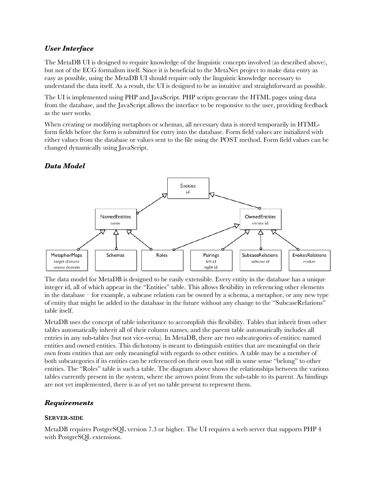# *User Interface*

The MetaDB UI is designed to require knowledge of the linguistic concepts involved (as described above), but not of the ECG formalism itself. Since it is beneficial to the MetaNet project to make data entry as easy as possible, using the MetaDB UI should require only the linguistic knowledge necessary to understand the data itself. As a result, the UI is designed to be as intuitive and straightforward as possible.

The UI is implemented using PHP and JavaScript. PHP scripts generate the HTML pages using data from the database, and the JavaScript allows the interface to be responsive to the user, providing feedback as the user works.

When creating or modifying metaphors or schemas, all necessary data is stored temporarily in HTMLform fields before the form is submitted for entry into the database. Form field values are initialized with either values from the database or values sent to the file using the POST method. Form field values can be changed dynamically using JavaScript.

# *Data Model*



The data model for MetaDB is designed to be easily extensible. Every entity in the database has a unique integer id, all of which appear in the "Entities" table. This allows flexibility in referencing other elements in the database – for example, a subcase relation can be owned by a schema, a metaphor, or any new type of entity that might be added to the database in the future without any change to the "SubcaseRelations" table itself.

MetaDB uses the concept of table inheritance to accomplish this flexibility. Tables that inherit from other tables automatically inherit all of their column names, and the parent table automatically includes all entries in any sub-tables (but not vice-versa). In MetaDB, there are two subcategories of entities: named entities and owned entities. This dichotomy is meant to distinguish entities that are meaningful on their own from entities that are only meaningful with regards to other entities. A table may be a member of both subcategories if its entities can be referenced on their own but still in some sense "belong" to other entities. The "Roles" table is such a table. The diagram above shows the relationships between the various tables currently present in the system, where the arrows point from the sub-table to its parent. As bindings are not yet implemented, there is as of yet no table present to represent them.

# *Requirements*

#### **SERVER-SIDE**

MetaDB requires PostgreSQL version 7.3 or higher. The UI requires a web server that supports PHP 4 with PostgreSQL extensions.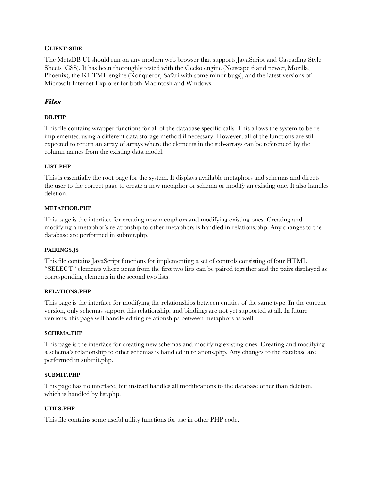#### **CLIENT-SIDE**

The MetaDB UI should run on any modern web browser that supports JavaScript and Cascading Style Sheets (CSS). It has been thoroughly tested with the Gecko engine (Netscape 6 and newer, Mozilla, Phoenix), the KHTML engine (Konqueror, Safari with some minor bugs), and the latest versions of Microsoft Internet Explorer for both Macintosh and Windows.

# *Files*

#### **DB.PHP**

This file contains wrapper functions for all of the database specific calls. This allows the system to be reimplemented using a different data storage method if necessary. However, all of the functions are still expected to return an array of arrays where the elements in the sub-arrays can be referenced by the column names from the existing data model.

#### **LIST.PHP**

This is essentially the root page for the system. It displays available metaphors and schemas and directs the user to the correct page to create a new metaphor or schema or modify an existing one. It also handles deletion.

#### **METAPHOR.PHP**

This page is the interface for creating new metaphors and modifying existing ones. Creating and modifying a metaphor's relationship to other metaphors is handled in relations.php. Any changes to the database are performed in submit.php.

#### **PAIRINGS.JS**

This file contains JavaScript functions for implementing a set of controls consisting of four HTML "SELECT" elements where items from the first two lists can be paired together and the pairs displayed as corresponding elements in the second two lists.

#### **RELATIONS.PHP**

This page is the interface for modifying the relationships between entities of the same type. In the current version, only schemas support this relationship, and bindings are not yet supported at all. In future versions, this page will handle editing relationships between metaphors as well.

#### **SCHEMA.PHP**

This page is the interface for creating new schemas and modifying existing ones. Creating and modifying a schema's relationship to other schemas is handled in relations.php. Any changes to the database are performed in submit.php.

#### **SUBMIT.PHP**

This page has no interface, but instead handles all modifications to the database other than deletion, which is handled by list.php.

#### **UTILS.PHP**

This file contains some useful utility functions for use in other PHP code.